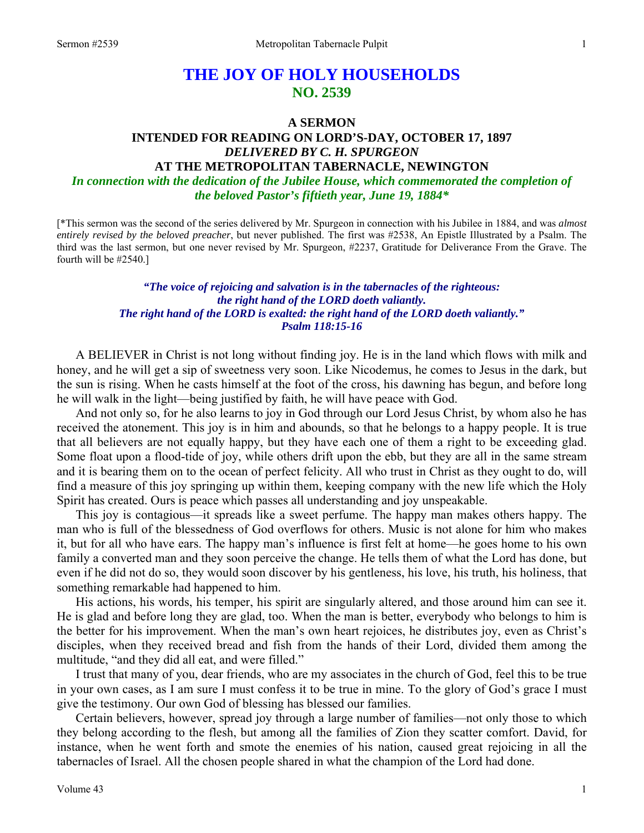# **THE JOY OF HOLY HOUSEHOLDS NO. 2539**

#### **A SERMON**

### **INTENDED FOR READING ON LORD'S-DAY, OCTOBER 17, 1897**  *DELIVERED BY C. H. SPURGEON*  **AT THE METROPOLITAN TABERNACLE, NEWINGTON**

*In connection with the dedication of the Jubilee House, which commemorated the completion of the beloved Pastor's fiftieth year, June 19, 1884\**

[\*This sermon was the second of the series delivered by Mr. Spurgeon in connection with his Jubilee in 1884, and was *almost entirely revised by the beloved preacher*, but never published. The first was #2538, An Epistle Illustrated by a Psalm. The third was the last sermon, but one never revised by Mr. Spurgeon, #2237, Gratitude for Deliverance From the Grave. The fourth will be #2540.]

#### *"The voice of rejoicing and salvation is in the tabernacles of the righteous: the right hand of the LORD doeth valiantly. The right hand of the LORD is exalted: the right hand of the LORD doeth valiantly." Psalm 118:15-16*

 A BELIEVER in Christ is not long without finding joy. He is in the land which flows with milk and honey, and he will get a sip of sweetness very soon. Like Nicodemus, he comes to Jesus in the dark, but the sun is rising. When he casts himself at the foot of the cross, his dawning has begun, and before long he will walk in the light—being justified by faith, he will have peace with God.

 And not only so, for he also learns to joy in God through our Lord Jesus Christ, by whom also he has received the atonement. This joy is in him and abounds, so that he belongs to a happy people. It is true that all believers are not equally happy, but they have each one of them a right to be exceeding glad. Some float upon a flood-tide of joy, while others drift upon the ebb, but they are all in the same stream and it is bearing them on to the ocean of perfect felicity. All who trust in Christ as they ought to do, will find a measure of this joy springing up within them, keeping company with the new life which the Holy Spirit has created. Ours is peace which passes all understanding and joy unspeakable.

 This joy is contagious—it spreads like a sweet perfume. The happy man makes others happy. The man who is full of the blessedness of God overflows for others. Music is not alone for him who makes it, but for all who have ears. The happy man's influence is first felt at home—he goes home to his own family a converted man and they soon perceive the change. He tells them of what the Lord has done, but even if he did not do so, they would soon discover by his gentleness, his love, his truth, his holiness, that something remarkable had happened to him.

 His actions, his words, his temper, his spirit are singularly altered, and those around him can see it. He is glad and before long they are glad, too. When the man is better, everybody who belongs to him is the better for his improvement. When the man's own heart rejoices, he distributes joy, even as Christ's disciples, when they received bread and fish from the hands of their Lord, divided them among the multitude, "and they did all eat, and were filled."

 I trust that many of you, dear friends, who are my associates in the church of God, feel this to be true in your own cases, as I am sure I must confess it to be true in mine. To the glory of God's grace I must give the testimony. Our own God of blessing has blessed our families.

 Certain believers, however, spread joy through a large number of families—not only those to which they belong according to the flesh, but among all the families of Zion they scatter comfort. David, for instance, when he went forth and smote the enemies of his nation, caused great rejoicing in all the tabernacles of Israel. All the chosen people shared in what the champion of the Lord had done.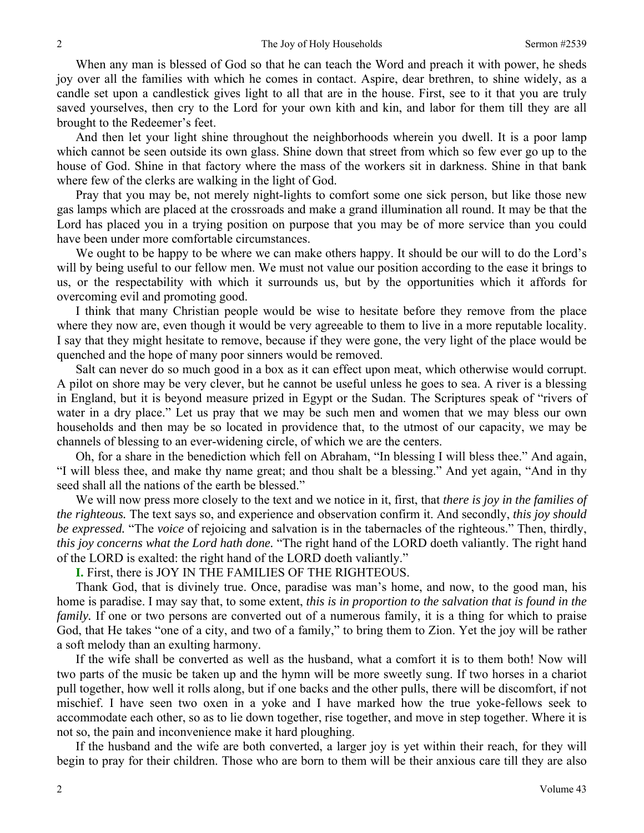When any man is blessed of God so that he can teach the Word and preach it with power, he sheds joy over all the families with which he comes in contact. Aspire, dear brethren, to shine widely, as a candle set upon a candlestick gives light to all that are in the house. First, see to it that you are truly saved yourselves, then cry to the Lord for your own kith and kin, and labor for them till they are all brought to the Redeemer's feet.

 And then let your light shine throughout the neighborhoods wherein you dwell. It is a poor lamp which cannot be seen outside its own glass. Shine down that street from which so few ever go up to the house of God. Shine in that factory where the mass of the workers sit in darkness. Shine in that bank where few of the clerks are walking in the light of God.

 Pray that you may be, not merely night-lights to comfort some one sick person, but like those new gas lamps which are placed at the crossroads and make a grand illumination all round. It may be that the Lord has placed you in a trying position on purpose that you may be of more service than you could have been under more comfortable circumstances.

 We ought to be happy to be where we can make others happy. It should be our will to do the Lord's will by being useful to our fellow men. We must not value our position according to the ease it brings to us, or the respectability with which it surrounds us, but by the opportunities which it affords for overcoming evil and promoting good.

 I think that many Christian people would be wise to hesitate before they remove from the place where they now are, even though it would be very agreeable to them to live in a more reputable locality. I say that they might hesitate to remove, because if they were gone, the very light of the place would be quenched and the hope of many poor sinners would be removed.

 Salt can never do so much good in a box as it can effect upon meat, which otherwise would corrupt. A pilot on shore may be very clever, but he cannot be useful unless he goes to sea. A river is a blessing in England, but it is beyond measure prized in Egypt or the Sudan. The Scriptures speak of "rivers of water in a dry place." Let us pray that we may be such men and women that we may bless our own households and then may be so located in providence that, to the utmost of our capacity, we may be channels of blessing to an ever-widening circle, of which we are the centers.

 Oh, for a share in the benediction which fell on Abraham, "In blessing I will bless thee." And again, "I will bless thee, and make thy name great; and thou shalt be a blessing." And yet again, "And in thy seed shall all the nations of the earth be blessed."

 We will now press more closely to the text and we notice in it, first, that *there is joy in the families of the righteous.* The text says so, and experience and observation confirm it. And secondly, *this joy should be expressed.* "The *voice* of rejoicing and salvation is in the tabernacles of the righteous." Then, thirdly, *this joy concerns what the Lord hath done.* "The right hand of the LORD doeth valiantly. The right hand of the LORD is exalted: the right hand of the LORD doeth valiantly."

**I.** First, there is JOY IN THE FAMILIES OF THE RIGHTEOUS.

 Thank God, that is divinely true. Once, paradise was man's home, and now, to the good man, his home is paradise. I may say that, to some extent, *this is in proportion to the salvation that is found in the family.* If one or two persons are converted out of a numerous family, it is a thing for which to praise God, that He takes "one of a city, and two of a family," to bring them to Zion. Yet the joy will be rather a soft melody than an exulting harmony.

 If the wife shall be converted as well as the husband, what a comfort it is to them both! Now will two parts of the music be taken up and the hymn will be more sweetly sung. If two horses in a chariot pull together, how well it rolls along, but if one backs and the other pulls, there will be discomfort, if not mischief. I have seen two oxen in a yoke and I have marked how the true yoke-fellows seek to accommodate each other, so as to lie down together, rise together, and move in step together. Where it is not so, the pain and inconvenience make it hard ploughing.

 If the husband and the wife are both converted, a larger joy is yet within their reach, for they will begin to pray for their children. Those who are born to them will be their anxious care till they are also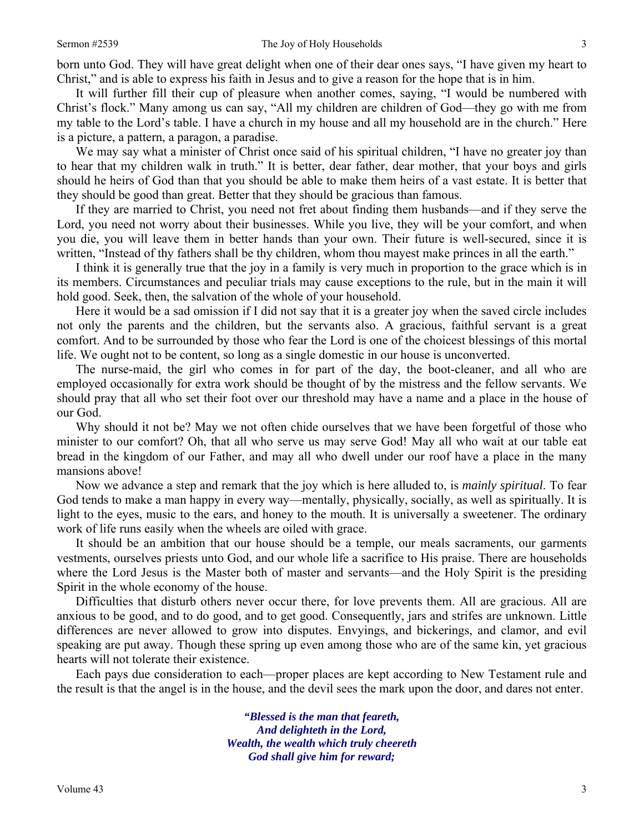born unto God. They will have great delight when one of their dear ones says, "I have given my heart to Christ," and is able to express his faith in Jesus and to give a reason for the hope that is in him.

 It will further fill their cup of pleasure when another comes, saying, "I would be numbered with Christ's flock." Many among us can say, "All my children are children of God—they go with me from my table to the Lord's table. I have a church in my house and all my household are in the church." Here is a picture, a pattern, a paragon, a paradise.

We may say what a minister of Christ once said of his spiritual children, "I have no greater joy than to hear that my children walk in truth." It is better, dear father, dear mother, that your boys and girls should he heirs of God than that you should be able to make them heirs of a vast estate. It is better that they should be good than great. Better that they should be gracious than famous.

 If they are married to Christ, you need not fret about finding them husbands—and if they serve the Lord, you need not worry about their businesses. While you live, they will be your comfort, and when you die, you will leave them in better hands than your own. Their future is well-secured, since it is written, "Instead of thy fathers shall be thy children, whom thou may est make princes in all the earth."

 I think it is generally true that the joy in a family is very much in proportion to the grace which is in its members. Circumstances and peculiar trials may cause exceptions to the rule, but in the main it will hold good. Seek, then, the salvation of the whole of your household.

 Here it would be a sad omission if I did not say that it is a greater joy when the saved circle includes not only the parents and the children, but the servants also. A gracious, faithful servant is a great comfort. And to be surrounded by those who fear the Lord is one of the choicest blessings of this mortal life. We ought not to be content, so long as a single domestic in our house is unconverted.

 The nurse-maid, the girl who comes in for part of the day, the boot-cleaner, and all who are employed occasionally for extra work should be thought of by the mistress and the fellow servants. We should pray that all who set their foot over our threshold may have a name and a place in the house of our God.

 Why should it not be? May we not often chide ourselves that we have been forgetful of those who minister to our comfort? Oh, that all who serve us may serve God! May all who wait at our table eat bread in the kingdom of our Father, and may all who dwell under our roof have a place in the many mansions above!

 Now we advance a step and remark that the joy which is here alluded to, is *mainly spiritual*. To fear God tends to make a man happy in every way—mentally, physically, socially, as well as spiritually. It is light to the eyes, music to the ears, and honey to the mouth. It is universally a sweetener. The ordinary work of life runs easily when the wheels are oiled with grace.

 It should be an ambition that our house should be a temple, our meals sacraments, our garments vestments, ourselves priests unto God, and our whole life a sacrifice to His praise. There are households where the Lord Jesus is the Master both of master and servants—and the Holy Spirit is the presiding Spirit in the whole economy of the house.

 Difficulties that disturb others never occur there, for love prevents them. All are gracious. All are anxious to be good, and to do good, and to get good. Consequently, jars and strifes are unknown. Little differences are never allowed to grow into disputes. Envyings, and bickerings, and clamor, and evil speaking are put away. Though these spring up even among those who are of the same kin, yet gracious hearts will not tolerate their existence.

 Each pays due consideration to each—proper places are kept according to New Testament rule and the result is that the angel is in the house, and the devil sees the mark upon the door, and dares not enter.

> *"Blessed is the man that feareth, And delighteth in the Lord, Wealth, the wealth which truly cheereth God shall give him for reward;*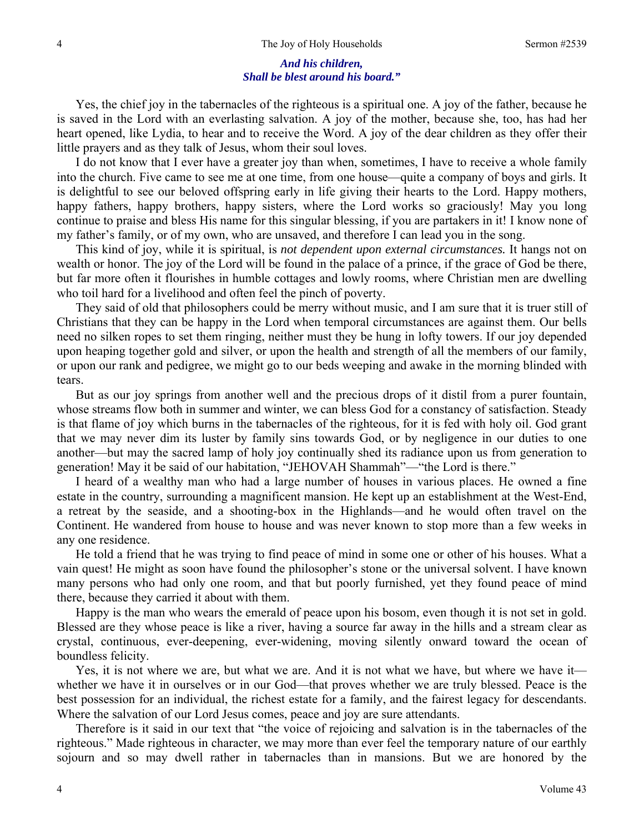#### *And his children, Shall be blest around his board."*

Yes, the chief joy in the tabernacles of the righteous is a spiritual one. A joy of the father, because he is saved in the Lord with an everlasting salvation. A joy of the mother, because she, too, has had her heart opened, like Lydia, to hear and to receive the Word. A joy of the dear children as they offer their little prayers and as they talk of Jesus, whom their soul loves.

 I do not know that I ever have a greater joy than when, sometimes, I have to receive a whole family into the church. Five came to see me at one time, from one house—quite a company of boys and girls. It is delightful to see our beloved offspring early in life giving their hearts to the Lord. Happy mothers, happy fathers, happy brothers, happy sisters, where the Lord works so graciously! May you long continue to praise and bless His name for this singular blessing, if you are partakers in it! I know none of my father's family, or of my own, who are unsaved, and therefore I can lead you in the song.

 This kind of joy, while it is spiritual, is *not dependent upon external circumstances.* It hangs not on wealth or honor. The joy of the Lord will be found in the palace of a prince, if the grace of God be there, but far more often it flourishes in humble cottages and lowly rooms, where Christian men are dwelling who toil hard for a livelihood and often feel the pinch of poverty.

 They said of old that philosophers could be merry without music, and I am sure that it is truer still of Christians that they can be happy in the Lord when temporal circumstances are against them. Our bells need no silken ropes to set them ringing, neither must they be hung in lofty towers. If our joy depended upon heaping together gold and silver, or upon the health and strength of all the members of our family, or upon our rank and pedigree, we might go to our beds weeping and awake in the morning blinded with tears.

 But as our joy springs from another well and the precious drops of it distil from a purer fountain, whose streams flow both in summer and winter, we can bless God for a constancy of satisfaction. Steady is that flame of joy which burns in the tabernacles of the righteous, for it is fed with holy oil. God grant that we may never dim its luster by family sins towards God, or by negligence in our duties to one another—but may the sacred lamp of holy joy continually shed its radiance upon us from generation to generation! May it be said of our habitation, "JEHOVAH Shammah"—"the Lord is there."

 I heard of a wealthy man who had a large number of houses in various places. He owned a fine estate in the country, surrounding a magnificent mansion. He kept up an establishment at the West-End, a retreat by the seaside, and a shooting-box in the Highlands—and he would often travel on the Continent. He wandered from house to house and was never known to stop more than a few weeks in any one residence.

 He told a friend that he was trying to find peace of mind in some one or other of his houses. What a vain quest! He might as soon have found the philosopher's stone or the universal solvent. I have known many persons who had only one room, and that but poorly furnished, yet they found peace of mind there, because they carried it about with them.

 Happy is the man who wears the emerald of peace upon his bosom, even though it is not set in gold. Blessed are they whose peace is like a river, having a source far away in the hills and a stream clear as crystal, continuous, ever-deepening, ever-widening, moving silently onward toward the ocean of boundless felicity.

 Yes, it is not where we are, but what we are. And it is not what we have, but where we have it whether we have it in ourselves or in our God—that proves whether we are truly blessed. Peace is the best possession for an individual, the richest estate for a family, and the fairest legacy for descendants. Where the salvation of our Lord Jesus comes, peace and joy are sure attendants.

 Therefore is it said in our text that "the voice of rejoicing and salvation is in the tabernacles of the righteous." Made righteous in character, we may more than ever feel the temporary nature of our earthly sojourn and so may dwell rather in tabernacles than in mansions. But we are honored by the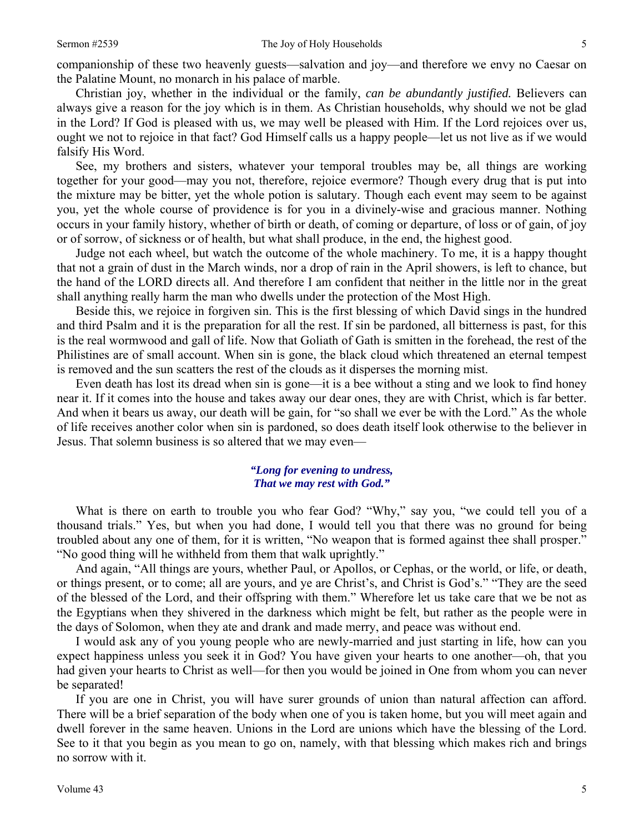companionship of these two heavenly guests—salvation and joy—and therefore we envy no Caesar on the Palatine Mount, no monarch in his palace of marble.

 Christian joy, whether in the individual or the family, *can be abundantly justified.* Believers can always give a reason for the joy which is in them. As Christian households, why should we not be glad in the Lord? If God is pleased with us, we may well be pleased with Him. If the Lord rejoices over us, ought we not to rejoice in that fact? God Himself calls us a happy people—let us not live as if we would falsify His Word.

 See, my brothers and sisters, whatever your temporal troubles may be, all things are working together for your good—may you not, therefore, rejoice evermore? Though every drug that is put into the mixture may be bitter, yet the whole potion is salutary. Though each event may seem to be against you, yet the whole course of providence is for you in a divinely-wise and gracious manner. Nothing occurs in your family history, whether of birth or death, of coming or departure, of loss or of gain, of joy or of sorrow, of sickness or of health, but what shall produce, in the end, the highest good.

 Judge not each wheel, but watch the outcome of the whole machinery. To me, it is a happy thought that not a grain of dust in the March winds, nor a drop of rain in the April showers, is left to chance, but the hand of the LORD directs all. And therefore I am confident that neither in the little nor in the great shall anything really harm the man who dwells under the protection of the Most High.

 Beside this, we rejoice in forgiven sin. This is the first blessing of which David sings in the hundred and third Psalm and it is the preparation for all the rest. If sin be pardoned, all bitterness is past, for this is the real wormwood and gall of life. Now that Goliath of Gath is smitten in the forehead, the rest of the Philistines are of small account. When sin is gone, the black cloud which threatened an eternal tempest is removed and the sun scatters the rest of the clouds as it disperses the morning mist.

 Even death has lost its dread when sin is gone—it is a bee without a sting and we look to find honey near it. If it comes into the house and takes away our dear ones, they are with Christ, which is far better. And when it bears us away, our death will be gain, for "so shall we ever be with the Lord." As the whole of life receives another color when sin is pardoned, so does death itself look otherwise to the believer in Jesus. That solemn business is so altered that we may even—

#### *"Long for evening to undress, That we may rest with God."*

What is there on earth to trouble you who fear God? "Why," say you, "we could tell you of a thousand trials." Yes, but when you had done, I would tell you that there was no ground for being troubled about any one of them, for it is written, "No weapon that is formed against thee shall prosper." "No good thing will he withheld from them that walk uprightly."

 And again, "All things are yours, whether Paul, or Apollos, or Cephas, or the world, or life, or death, or things present, or to come; all are yours, and ye are Christ's, and Christ is God's." "They are the seed of the blessed of the Lord, and their offspring with them." Wherefore let us take care that we be not as the Egyptians when they shivered in the darkness which might be felt, but rather as the people were in the days of Solomon, when they ate and drank and made merry, and peace was without end.

 I would ask any of you young people who are newly-married and just starting in life, how can you expect happiness unless you seek it in God? You have given your hearts to one another—oh, that you had given your hearts to Christ as well—for then you would be joined in One from whom you can never be separated!

 If you are one in Christ, you will have surer grounds of union than natural affection can afford. There will be a brief separation of the body when one of you is taken home, but you will meet again and dwell forever in the same heaven. Unions in the Lord are unions which have the blessing of the Lord. See to it that you begin as you mean to go on, namely, with that blessing which makes rich and brings no sorrow with it.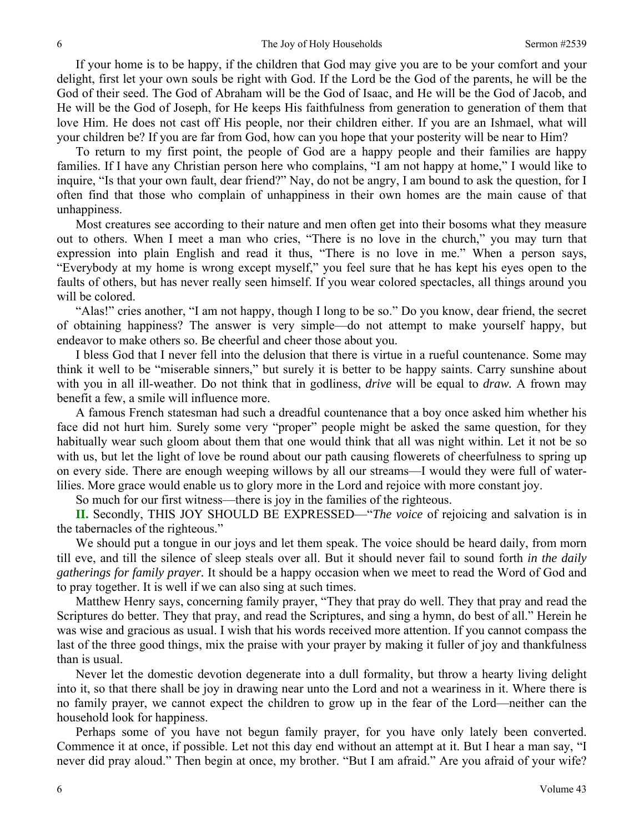If your home is to be happy, if the children that God may give you are to be your comfort and your delight, first let your own souls be right with God. If the Lord be the God of the parents, he will be the God of their seed. The God of Abraham will be the God of Isaac, and He will be the God of Jacob, and He will be the God of Joseph, for He keeps His faithfulness from generation to generation of them that love Him. He does not cast off His people, nor their children either. If you are an Ishmael, what will your children be? If you are far from God, how can you hope that your posterity will be near to Him?

 To return to my first point, the people of God are a happy people and their families are happy families. If I have any Christian person here who complains, "I am not happy at home," I would like to inquire, "Is that your own fault, dear friend?" Nay, do not be angry, I am bound to ask the question, for I often find that those who complain of unhappiness in their own homes are the main cause of that unhappiness.

 Most creatures see according to their nature and men often get into their bosoms what they measure out to others. When I meet a man who cries, "There is no love in the church," you may turn that expression into plain English and read it thus, "There is no love in me." When a person says, "Everybody at my home is wrong except myself," you feel sure that he has kept his eyes open to the faults of others, but has never really seen himself. If you wear colored spectacles, all things around you will be colored.

 "Alas!" cries another, "I am not happy, though I long to be so." Do you know, dear friend, the secret of obtaining happiness? The answer is very simple—do not attempt to make yourself happy, but endeavor to make others so. Be cheerful and cheer those about you.

 I bless God that I never fell into the delusion that there is virtue in a rueful countenance. Some may think it well to be "miserable sinners," but surely it is better to be happy saints. Carry sunshine about with you in all ill-weather. Do not think that in godliness, *drive* will be equal to *draw.* A frown may benefit a few, a smile will influence more.

 A famous French statesman had such a dreadful countenance that a boy once asked him whether his face did not hurt him. Surely some very "proper" people might be asked the same question, for they habitually wear such gloom about them that one would think that all was night within. Let it not be so with us, but let the light of love be round about our path causing flowerets of cheerfulness to spring up on every side. There are enough weeping willows by all our streams—I would they were full of waterlilies. More grace would enable us to glory more in the Lord and rejoice with more constant joy.

So much for our first witness—there is joy in the families of the righteous.

 **II.** Secondly, THIS JOY SHOULD BE EXPRESSED—"*The voice* of rejoicing and salvation is in the tabernacles of the righteous."

 We should put a tongue in our joys and let them speak. The voice should be heard daily, from morn till eve, and till the silence of sleep steals over all. But it should never fail to sound forth *in the daily gatherings for family prayer.* It should be a happy occasion when we meet to read the Word of God and to pray together. It is well if we can also sing at such times.

 Matthew Henry says, concerning family prayer, "They that pray do well. They that pray and read the Scriptures do better. They that pray, and read the Scriptures, and sing a hymn, do best of all." Herein he was wise and gracious as usual. I wish that his words received more attention. If you cannot compass the last of the three good things, mix the praise with your prayer by making it fuller of joy and thankfulness than is usual.

 Never let the domestic devotion degenerate into a dull formality, but throw a hearty living delight into it, so that there shall be joy in drawing near unto the Lord and not a weariness in it. Where there is no family prayer, we cannot expect the children to grow up in the fear of the Lord—neither can the household look for happiness.

 Perhaps some of you have not begun family prayer, for you have only lately been converted. Commence it at once, if possible. Let not this day end without an attempt at it. But I hear a man say, "I never did pray aloud." Then begin at once, my brother. "But I am afraid." Are you afraid of your wife?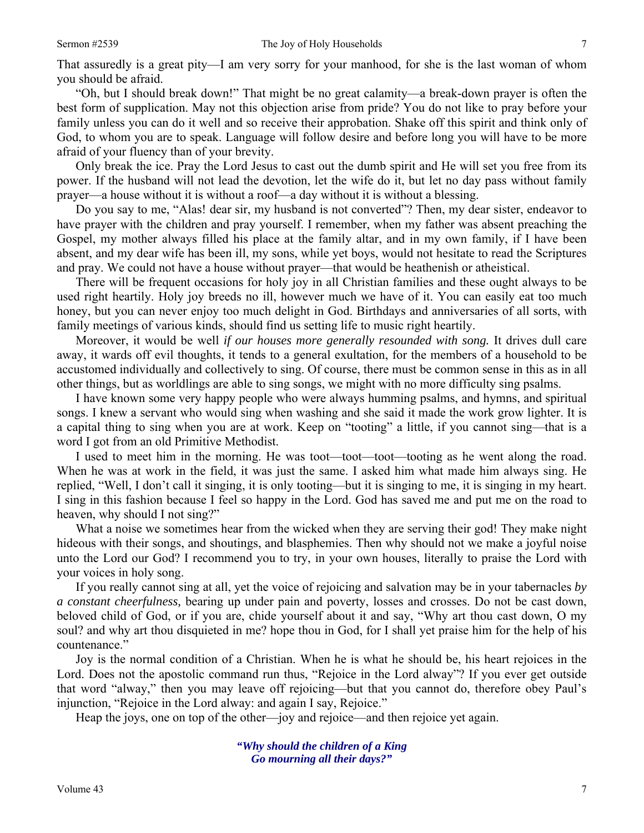That assuredly is a great pity—I am very sorry for your manhood, for she is the last woman of whom you should be afraid.

 "Oh, but I should break down!" That might be no great calamity—a break-down prayer is often the best form of supplication. May not this objection arise from pride? You do not like to pray before your family unless you can do it well and so receive their approbation. Shake off this spirit and think only of God, to whom you are to speak. Language will follow desire and before long you will have to be more afraid of your fluency than of your brevity.

 Only break the ice. Pray the Lord Jesus to cast out the dumb spirit and He will set you free from its power. If the husband will not lead the devotion, let the wife do it, but let no day pass without family prayer—a house without it is without a roof—a day without it is without a blessing.

 Do you say to me, "Alas! dear sir, my husband is not converted"? Then, my dear sister, endeavor to have prayer with the children and pray yourself. I remember, when my father was absent preaching the Gospel, my mother always filled his place at the family altar, and in my own family, if I have been absent, and my dear wife has been ill, my sons, while yet boys, would not hesitate to read the Scriptures and pray. We could not have a house without prayer—that would be heathenish or atheistical.

 There will be frequent occasions for holy joy in all Christian families and these ought always to be used right heartily. Holy joy breeds no ill, however much we have of it. You can easily eat too much honey, but you can never enjoy too much delight in God. Birthdays and anniversaries of all sorts, with family meetings of various kinds, should find us setting life to music right heartily.

 Moreover, it would be well *if our houses more generally resounded with song.* It drives dull care away, it wards off evil thoughts, it tends to a general exultation, for the members of a household to be accustomed individually and collectively to sing. Of course, there must be common sense in this as in all other things, but as worldlings are able to sing songs, we might with no more difficulty sing psalms.

 I have known some very happy people who were always humming psalms, and hymns, and spiritual songs. I knew a servant who would sing when washing and she said it made the work grow lighter. It is a capital thing to sing when you are at work. Keep on "tooting" a little, if you cannot sing—that is a word I got from an old Primitive Methodist.

I used to meet him in the morning. He was toot—toot—toot—tooting as he went along the road. When he was at work in the field, it was just the same. I asked him what made him always sing. He replied, "Well, I don't call it singing, it is only tooting—but it is singing to me, it is singing in my heart. I sing in this fashion because I feel so happy in the Lord. God has saved me and put me on the road to heaven, why should I not sing?"

What a noise we sometimes hear from the wicked when they are serving their god! They make night hideous with their songs, and shoutings, and blasphemies. Then why should not we make a joyful noise unto the Lord our God? I recommend you to try, in your own houses, literally to praise the Lord with your voices in holy song.

 If you really cannot sing at all, yet the voice of rejoicing and salvation may be in your tabernacles *by a constant cheerfulness,* bearing up under pain and poverty, losses and crosses. Do not be cast down, beloved child of God, or if you are, chide yourself about it and say, "Why art thou cast down, O my soul? and why art thou disquieted in me? hope thou in God, for I shall yet praise him for the help of his countenance."

 Joy is the normal condition of a Christian. When he is what he should be, his heart rejoices in the Lord. Does not the apostolic command run thus, "Rejoice in the Lord alway"? If you ever get outside that word "alway," then you may leave off rejoicing—but that you cannot do, therefore obey Paul's injunction, "Rejoice in the Lord alway: and again I say, Rejoice."

Heap the joys, one on top of the other—joy and rejoice—and then rejoice yet again.

*"Why should the children of a King Go mourning all their days?"*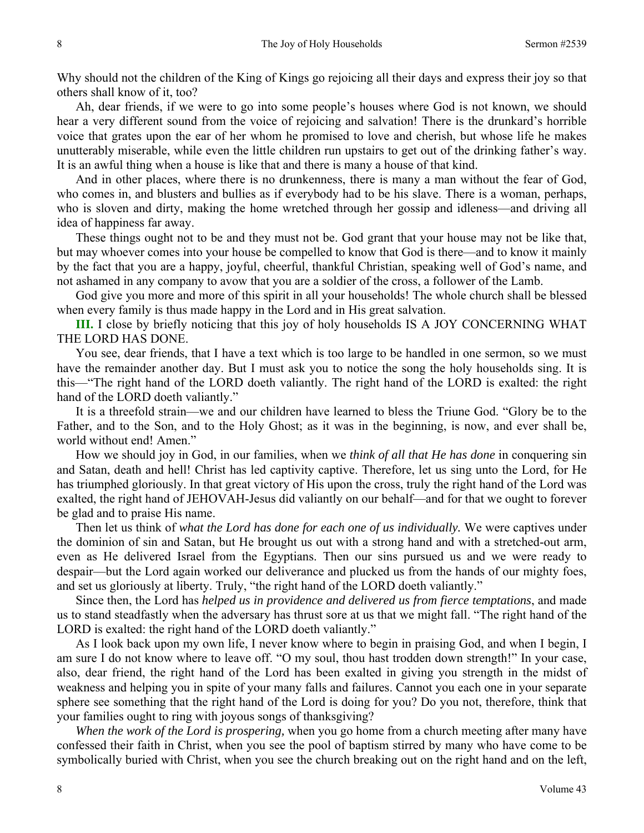Why should not the children of the King of Kings go rejoicing all their days and express their joy so that others shall know of it, too?

 Ah, dear friends, if we were to go into some people's houses where God is not known, we should hear a very different sound from the voice of rejoicing and salvation! There is the drunkard's horrible voice that grates upon the ear of her whom he promised to love and cherish, but whose life he makes unutterably miserable, while even the little children run upstairs to get out of the drinking father's way. It is an awful thing when a house is like that and there is many a house of that kind.

 And in other places, where there is no drunkenness, there is many a man without the fear of God, who comes in, and blusters and bullies as if everybody had to be his slave. There is a woman, perhaps, who is sloven and dirty, making the home wretched through her gossip and idleness—and driving all idea of happiness far away.

 These things ought not to be and they must not be. God grant that your house may not be like that, but may whoever comes into your house be compelled to know that God is there—and to know it mainly by the fact that you are a happy, joyful, cheerful, thankful Christian, speaking well of God's name, and not ashamed in any company to avow that you are a soldier of the cross, a follower of the Lamb.

 God give you more and more of this spirit in all your households! The whole church shall be blessed when every family is thus made happy in the Lord and in His great salvation.

**III.** I close by briefly noticing that this joy of holy households IS A JOY CONCERNING WHAT THE LORD HAS DONE.

 You see, dear friends, that I have a text which is too large to be handled in one sermon, so we must have the remainder another day. But I must ask you to notice the song the holy households sing. It is this—"The right hand of the LORD doeth valiantly. The right hand of the LORD is exalted: the right hand of the LORD doeth valiantly."

 It is a threefold strain—we and our children have learned to bless the Triune God. "Glory be to the Father, and to the Son, and to the Holy Ghost; as it was in the beginning, is now, and ever shall be, world without end! Amen."

 How we should joy in God, in our families, when we *think of all that He has done* in conquering sin and Satan, death and hell! Christ has led captivity captive. Therefore, let us sing unto the Lord, for He has triumphed gloriously. In that great victory of His upon the cross, truly the right hand of the Lord was exalted, the right hand of JEHOVAH-Jesus did valiantly on our behalf—and for that we ought to forever be glad and to praise His name.

 Then let us think of *what the Lord has done for each one of us individually.* We were captives under the dominion of sin and Satan, but He brought us out with a strong hand and with a stretched-out arm, even as He delivered Israel from the Egyptians. Then our sins pursued us and we were ready to despair—but the Lord again worked our deliverance and plucked us from the hands of our mighty foes, and set us gloriously at liberty. Truly, "the right hand of the LORD doeth valiantly."

 Since then, the Lord has *helped us in providence and delivered us from fierce temptations*, and made us to stand steadfastly when the adversary has thrust sore at us that we might fall. "The right hand of the LORD is exalted: the right hand of the LORD doeth valiantly."

 As I look back upon my own life, I never know where to begin in praising God, and when I begin, I am sure I do not know where to leave off. "O my soul, thou hast trodden down strength!" In your case, also, dear friend, the right hand of the Lord has been exalted in giving you strength in the midst of weakness and helping you in spite of your many falls and failures. Cannot you each one in your separate sphere see something that the right hand of the Lord is doing for you? Do you not, therefore, think that your families ought to ring with joyous songs of thanksgiving?

*When the work of the Lord is prospering,* when you go home from a church meeting after many have confessed their faith in Christ, when you see the pool of baptism stirred by many who have come to be symbolically buried with Christ, when you see the church breaking out on the right hand and on the left,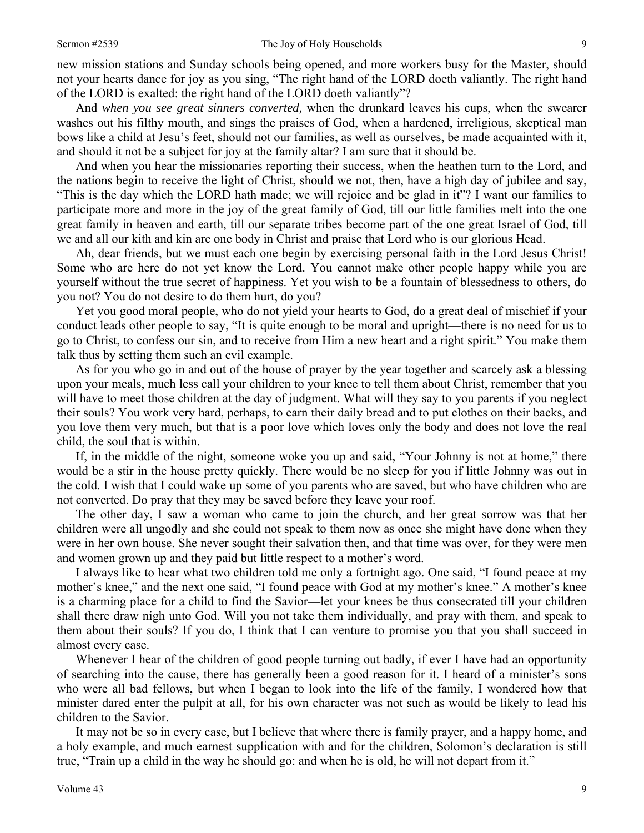new mission stations and Sunday schools being opened, and more workers busy for the Master, should not your hearts dance for joy as you sing, "The right hand of the LORD doeth valiantly. The right hand of the LORD is exalted: the right hand of the LORD doeth valiantly"?

 And *when you see great sinners converted,* when the drunkard leaves his cups, when the swearer washes out his filthy mouth, and sings the praises of God, when a hardened, irreligious, skeptical man bows like a child at Jesu's feet, should not our families, as well as ourselves, be made acquainted with it, and should it not be a subject for joy at the family altar? I am sure that it should be.

 And when you hear the missionaries reporting their success, when the heathen turn to the Lord, and the nations begin to receive the light of Christ, should we not, then, have a high day of jubilee and say, "This is the day which the LORD hath made; we will rejoice and be glad in it"? I want our families to participate more and more in the joy of the great family of God, till our little families melt into the one great family in heaven and earth, till our separate tribes become part of the one great Israel of God, till we and all our kith and kin are one body in Christ and praise that Lord who is our glorious Head.

 Ah, dear friends, but we must each one begin by exercising personal faith in the Lord Jesus Christ! Some who are here do not yet know the Lord. You cannot make other people happy while you are yourself without the true secret of happiness. Yet you wish to be a fountain of blessedness to others, do you not? You do not desire to do them hurt, do you?

 Yet you good moral people, who do not yield your hearts to God, do a great deal of mischief if your conduct leads other people to say, "It is quite enough to be moral and upright—there is no need for us to go to Christ, to confess our sin, and to receive from Him a new heart and a right spirit." You make them talk thus by setting them such an evil example.

 As for you who go in and out of the house of prayer by the year together and scarcely ask a blessing upon your meals, much less call your children to your knee to tell them about Christ, remember that you will have to meet those children at the day of judgment. What will they say to you parents if you neglect their souls? You work very hard, perhaps, to earn their daily bread and to put clothes on their backs, and you love them very much, but that is a poor love which loves only the body and does not love the real child, the soul that is within.

 If, in the middle of the night, someone woke you up and said, "Your Johnny is not at home," there would be a stir in the house pretty quickly. There would be no sleep for you if little Johnny was out in the cold. I wish that I could wake up some of you parents who are saved, but who have children who are not converted. Do pray that they may be saved before they leave your roof.

 The other day, I saw a woman who came to join the church, and her great sorrow was that her children were all ungodly and she could not speak to them now as once she might have done when they were in her own house. She never sought their salvation then, and that time was over, for they were men and women grown up and they paid but little respect to a mother's word.

 I always like to hear what two children told me only a fortnight ago. One said, "I found peace at my mother's knee," and the next one said, "I found peace with God at my mother's knee." A mother's knee is a charming place for a child to find the Savior—let your knees be thus consecrated till your children shall there draw nigh unto God. Will you not take them individually, and pray with them, and speak to them about their souls? If you do, I think that I can venture to promise you that you shall succeed in almost every case.

Whenever I hear of the children of good people turning out badly, if ever I have had an opportunity of searching into the cause, there has generally been a good reason for it. I heard of a minister's sons who were all bad fellows, but when I began to look into the life of the family, I wondered how that minister dared enter the pulpit at all, for his own character was not such as would be likely to lead his children to the Savior.

 It may not be so in every case, but I believe that where there is family prayer, and a happy home, and a holy example, and much earnest supplication with and for the children, Solomon's declaration is still true, "Train up a child in the way he should go: and when he is old, he will not depart from it."